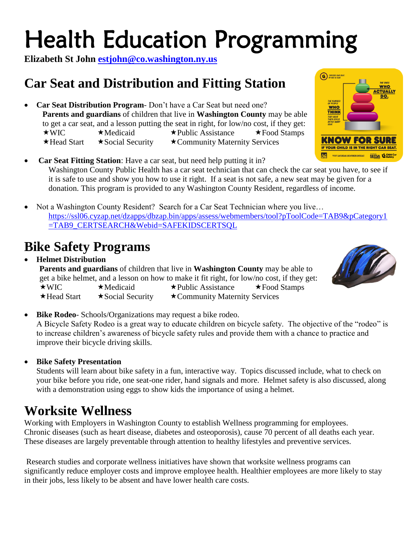# Health Education Programming

**Elizabeth St John [estjohn@co.washington.ny.us](mailto:estjohn@co.washington.ny.us)**

# **Car Seat and Distribution and Fitting Station**

- **Car Seat Distribution Program** Don't have a Car Seat but need one? **Parents and guardians** of children that live in **Washington County** may be able to get a car seat, and a lesson putting the seat in right, for low/no cost, if they get:  $\star$  WIC  $\star$  Medicaid  $\star$  Public Assistance  $\star$  Food Stamps  $\star$  Head Start  $\star$  Social Security  $\star$  Community Maternity Services
- **Car Seat Fitting Station**: Have a car seat, but need help putting it in? Washington County Public Health has a car seat technician that can check the car seat you have, to see if it is safe to use and show you how to use it right. If a seat is not safe, a new seat may be given for a donation. This program is provided to any Washington County Resident, regardless of income.
- Not a Washington County Resident? Search for a Car Seat Technician where you live... [https://ssl06.cyzap.net/dzapps/dbzap.bin/apps/assess/webmembers/tool?pToolCode=TAB9&pCategory1](https://ssl06.cyzap.net/dzapps/dbzap.bin/apps/assess/webmembers/tool?pToolCode=TAB9&pCategory1=TAB9_CERTSEARCH&Webid=SAFEKIDSCERTSQL) [=TAB9\\_CERTSEARCH&Webid=SAFEKIDSCERTSQL](https://ssl06.cyzap.net/dzapps/dbzap.bin/apps/assess/webmembers/tool?pToolCode=TAB9&pCategory1=TAB9_CERTSEARCH&Webid=SAFEKIDSCERTSQL)

## **Bike Safety Programs**

 **Helmet Distribution Parents and guardians** of children that live in **Washington County** may be able to get a bike helmet, and a lesson on how to make it fit right, for low/no cost, if they get:  $\star$ WIC  $\star$ Medicaid  $\star$ Public Assistance  $\star$ Food Stamps  $\star$  Head Start  $\star$  Social Security  $\star$  Community Maternity Services

**Bike Rodeo**- Schools/Organizations may request a bike rodeo.

A Bicycle Safety Rodeo is a great way to educate children on bicycle safety. The objective of the "rodeo" is to increase children's awareness of bicycle safety rules and provide them with a chance to practice and improve their bicycle driving skills.

**Bike Safety Presentation**

Students will learn about bike safety in a fun, interactive way. Topics discussed include, what to check on your bike before you ride, one seat-one rider, hand signals and more. Helmet safety is also discussed, along with a demonstration using eggs to show kids the importance of using a helmet.

### **Worksite Wellness**

Working with Employers in Washington County to establish Wellness programming for employees. Chronic diseases (such as heart disease, diabetes and osteoporosis), cause 70 percent of all deaths each year. These diseases are largely preventable through attention to healthy lifestyles and preventive services.

Research studies and corporate wellness initiatives have shown that worksite wellness programs can significantly reduce employer costs and improve employee health. Healthier employees are more likely to stay in their jobs, less likely to be absent and have lower health care costs.



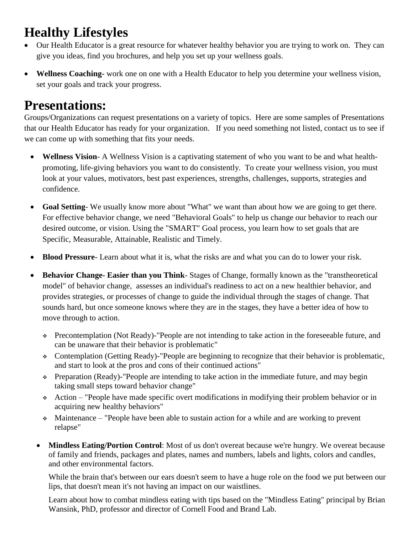### **Healthy Lifestyles**

- Our Health Educator is a great resource for whatever healthy behavior you are trying to work on. They can give you ideas, find you brochures, and help you set up your wellness goals.
- **Wellness Coaching-** work one on one with a Health Educator to help you determine your wellness vision, set your goals and track your progress.

### **Presentations:**

Groups/Organizations can request presentations on a variety of topics. Here are some samples of Presentations that our Health Educator has ready for your organization. If you need something not listed, contact us to see if we can come up with something that fits your needs.

- **Wellness Vision** A Wellness Vision is a captivating statement of who you want to be and what healthpromoting, life-giving behaviors you want to do consistently. To create your wellness vision, you must look at your values, motivators, best past experiences, strengths, challenges, supports, strategies and confidence.
- **Goal Setting** We usually know more about "What" we want than about how we are going to get there. For effective behavior change, we need "Behavioral Goals" to help us change our behavior to reach our desired outcome, or vision. Using the "SMART" Goal process, you learn how to set goals that are Specific, Measurable, Attainable, Realistic and Timely.
- **Blood Pressure** Learn about what it is, what the risks are and what you can do to lower your risk.
- **Behavior Change- Easier than you Think** Stages of Change, formally known as the "transtheoretical model" of behavior change, assesses an individual's readiness to act on a new healthier behavior, and provides strategies, or processes of change to guide the individual through the stages of change. That sounds hard, but once someone knows where they are in the stages, they have a better idea of how to move through to action.
	- Precontemplation (Not Ready)-"People are not intending to take action in the foreseeable future, and can be unaware that their behavior is problematic"
	- Contemplation (Getting Ready)-"People are beginning to recognize that their behavior is problematic, and start to look at the pros and cons of their continued actions"
	- $\div$  Preparation (Ready)-"People are intending to take action in the immediate future, and may begin taking small steps toward behavior change"
	- $\div$  Action "People have made specific overt modifications in modifying their problem behavior or in acquiring new healthy behaviors"
	- Maintenance "People have been able to sustain action for a while and are working to prevent relapse"
	- **Mindless Eating/Portion Control**: Most of us don't overeat because we're hungry. We overeat because of family and friends, packages and plates, names and numbers, labels and lights, colors and candles, and other environmental factors.

While the brain that's between our ears doesn't seem to have a huge role on the food we put between our lips, that doesn't mean it's not having an impact on our waistlines.

Learn about how to combat mindless eating with tips based on the "Mindless Eating" principal by Brian Wansink, PhD, professor and director of Cornell Food and Brand Lab.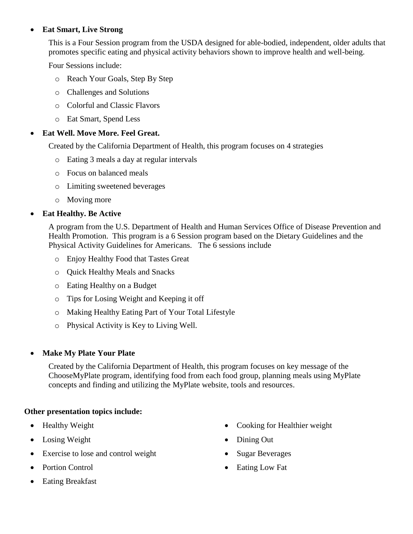#### **Eat Smart, Live Strong**

This is a Four Session program from the USDA designed for able-bodied, independent, older adults that promotes specific eating and physical activity behaviors shown to improve health and well-being.

Four Sessions include:

- o Reach Your Goals, Step By Step
- o Challenges and Solutions
- o Colorful and Classic Flavors
- o Eat Smart, Spend Less

#### **Eat Well. Move More. Feel Great.**

Created by the California Department of Health, this program focuses on 4 strategies

- o Eating 3 meals a day at regular intervals
- o Focus on balanced meals
- o Limiting sweetened beverages
- o Moving more

#### **Eat Healthy. Be Active**

A program from the U.S. Department of Health and Human Services Office of Disease Prevention and Health Promotion. This program is a 6 Session program based on the Dietary Guidelines and the Physical Activity Guidelines for Americans. The 6 sessions include

- o Enjoy Healthy Food that Tastes Great
- o Quick Healthy Meals and Snacks
- o Eating Healthy on a Budget
- o Tips for Losing Weight and Keeping it off
- o Making Healthy Eating Part of Your Total Lifestyle
- o Physical Activity is Key to Living Well.

#### **Make My Plate Your Plate**

Created by the California Department of Health, this program focuses on key message of the ChooseMyPlate program, identifying food from each food group, planning meals using MyPlate concepts and finding and utilizing the MyPlate website, tools and resources.

#### **Other presentation topics include:**

- Healthy Weight
- Losing Weight
- Exercise to lose and control weight
- Portion Control
- Eating Breakfast
- Cooking for Healthier weight
- Dining Out
- Sugar Beverages
- Eating Low Fat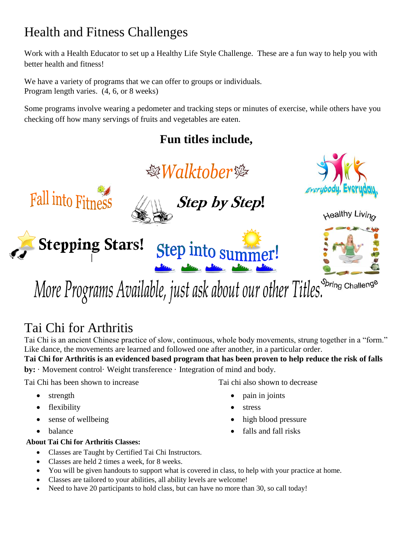## Health and Fitness Challenges

Work with a Health Educator to set up a Healthy Life Style Challenge. These are a fun way to help you with better health and fitness!

We have a variety of programs that we can offer to groups or individuals. Program length varies. (4, 6, or 8 weeks)

Some programs involve wearing a pedometer and tracking steps or minutes of exercise, while others have you checking off how many servings of fruits and vegetables are eaten.

### **Fun titles include,**



Spring Challenge More Programs Available, just ask about our other Titles.

# Tai Chi for Arthritis

Tai Chi is an ancient Chinese practice of slow, continuous, whole body movements, strung together in a "form." Like dance, the movements are learned and followed one after another, in a particular order.

**Tai Chi for Arthritis is an evidenced based program that has been proven to help reduce the risk of falls by:** · Movement control· Weight transference · Integration of mind and body.

Tai Chi has been shown to increase

- strength
- flexibility
- sense of wellbeing
- balance

#### **About Tai Chi for Arthritis Classes:**

- Classes are Taught by Certified Tai Chi Instructors.
- Classes are held 2 times a week, for 8 weeks.
- You will be given handouts to support what is covered in class, to help with your practice at home.
- Classes are tailored to your abilities, all ability levels are welcome!
- Need to have 20 participants to hold class, but can have no more than 30, so call today!
- Tai chi also shown to decrease
	- pain in joints
	- stress
	- high blood pressure
	- falls and fall risks